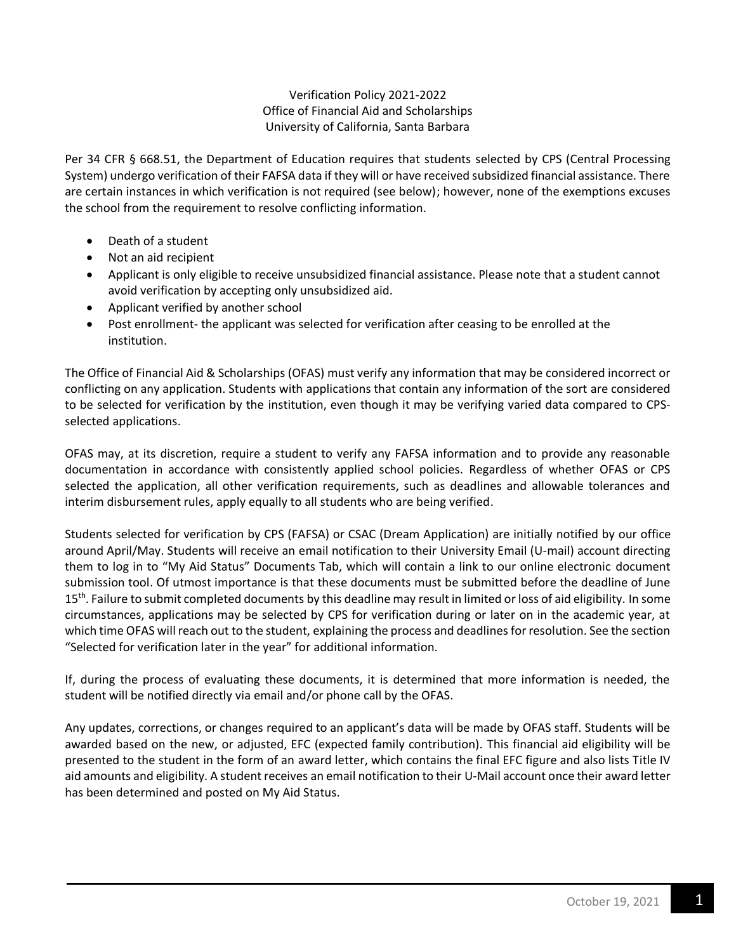# Verification Policy 2021-2022 Office of Financial Aid and Scholarships University of California, Santa Barbara

Per 34 CFR § 668.51, the Department of Education requires that students selected by CPS (Central Processing System) undergo verification of their FAFSA data if they will or have received subsidized financial assistance. There are certain instances in which verification is not required (see below); however, none of the exemptions excuses the school from the requirement to resolve conflicting information.

- Death of a student
- Not an aid recipient
- Applicant is only eligible to receive unsubsidized financial assistance. Please note that a student cannot avoid verification by accepting only unsubsidized aid.
- Applicant verified by another school
- Post enrollment- the applicant was selected for verification after ceasing to be enrolled at the institution.

The Office of Financial Aid & Scholarships (OFAS) must verify any information that may be considered incorrect or conflicting on any application. Students with applications that contain any information of the sort are considered to be selected for verification by the institution, even though it may be verifying varied data compared to CPSselected applications.

OFAS may, at its discretion, require a student to verify any FAFSA information and to provide any reasonable documentation in accordance with consistently applied school policies. Regardless of whether OFAS or CPS selected the application, all other verification requirements, such as deadlines and allowable tolerances and interim disbursement rules, apply equally to all students who are being verified.

Students selected for verification by CPS (FAFSA) or CSAC (Dream Application) are initially notified by our office around April/May. Students will receive an email notification to their University Email (U-mail) account directing them to log in to "My Aid Status" Documents Tab, which will contain a link to our online electronic document submission tool. Of utmost importance is that these documents must be submitted before the deadline of June 15<sup>th</sup>. Failure to submit completed documents by this deadline may result in limited or loss of aid eligibility. In some circumstances, applications may be selected by CPS for verification during or later on in the academic year, at which time OFAS will reach out to the student, explaining the process and deadlines for resolution. See the section "Selected for verification later in the year" for additional information.

If, during the process of evaluating these documents, it is determined that more information is needed, the student will be notified directly via email and/or phone call by the OFAS.

Any updates, corrections, or changes required to an applicant's data will be made by OFAS staff. Students will be awarded based on the new, or adjusted, EFC (expected family contribution). This financial aid eligibility will be presented to the student in the form of an award letter, which contains the final EFC figure and also lists Title IV aid amounts and eligibility. A student receives an email notification to their U-Mail account once their award letter has been determined and posted on My Aid Status.